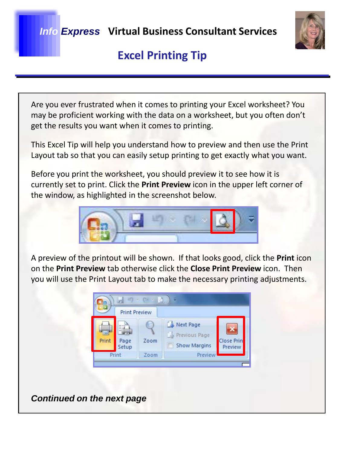

Are you ever frustrated when it comes to printing your Excel worksheet? You may be proficient working with the data on a worksheet, but you often don't get the results you want when it comes to printing.

This Excel Tip will help you understand how to preview and then use the Print Layout tab so that you can easily setup printing to get exactly what you want.

Before you print the worksheet, you should preview it to see how it is currently set to print. Click the **Print Preview** icon in the upper left corner of the window, as highlighted in the screenshot below.



A preview of the printout will be shown. If that looks good, click the **Print** icon on the **Print Preview** tab otherwise click the **Close Print Preview** icon. Then you will use the Print Layout tab to make the necessary printing adjustments.



*Continued on the next page*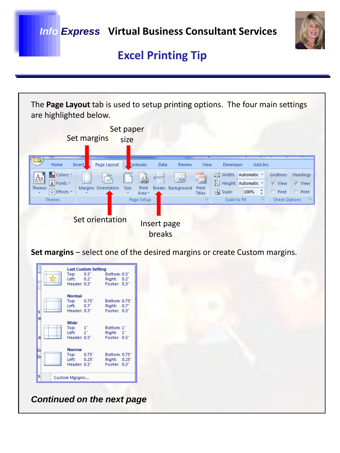

The **Page Layout** tab is used to setup printing options. The four main settings are highlighted below. Set paper Set margins size Home Insert Page Layout mulas Data Review View Developer Add-Ins Colors \* **FEED** Width: Automatic v Gridlines | Headings  $\overline{A}$  Fonts  $\overline{\phantom{a}}$ a Height: Automatic \* View V View Breaks Background Print Themes Margins Orientation Size Print O Effects Scale: 100% Print | Print - 0 Titles Area **Themes** Page Setup  $\sqrt{2}$ Scale to Fit  $\overline{\mathrm{b}}_0$ **Sheet Options** Set orientation Insert page breaks

**Set margins** – select one of the desired margins or create Custom margins.

|                            |  | Top:<br>Left: $0.2"$<br>Header: 0.3"                         | <b>Last Custom Setting</b><br>0.5" | Bottom: 0.5"<br>Right: 0.2"<br>Footer: 0.3" |         |  |
|----------------------------|--|--------------------------------------------------------------|------------------------------------|---------------------------------------------|---------|--|
| s                          |  | <b>Normal</b><br>Top:<br>Left: $0.7^{\circ}$<br>Header: 0.3" | 0.75"                              | Bottom: 0.75"<br>Right:<br>Footer: 0.3"     | $0.7^*$ |  |
| a<br>a                     |  | Wide<br>Top:<br>Left: $1"$<br>Header: 0.5"                   | $1^{\circ}$                        | Bottom: 1"<br>Right: 1"<br>Footer: 0.5"     |         |  |
| ti<br>li.                  |  | <b>Narrow</b><br>Top:<br>Left: $0.25$<br>Header: 0.3"        | 0.75"                              | Bottom: 0.75"<br>Right:<br>Footer: 0.3"     | 0.25"   |  |
| s<br><b>Custom Margins</b> |  |                                                              |                                    |                                             |         |  |

*Continued on the next page*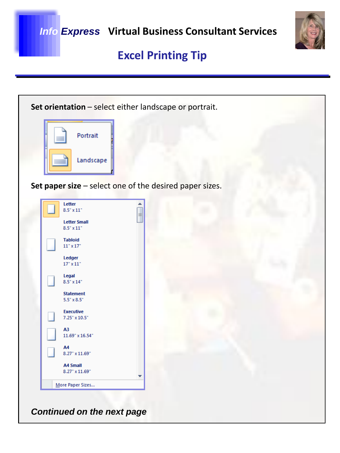

| Set orientation - select either landscape or portrait.  |  |  |  |  |  |  |  |
|---------------------------------------------------------|--|--|--|--|--|--|--|
|                                                         |  |  |  |  |  |  |  |
| Portrait                                                |  |  |  |  |  |  |  |
| Landscape                                               |  |  |  |  |  |  |  |
| Set paper size - select one of the desired paper sizes. |  |  |  |  |  |  |  |
| Letter<br>$8.5$ " x $11$ "<br>E                         |  |  |  |  |  |  |  |
| <b>Letter Small</b><br>$8.5$ " x 11"                    |  |  |  |  |  |  |  |
| <b>Tabloid</b><br>$11^{\circ} \times 17^{\circ}$        |  |  |  |  |  |  |  |
| Ledger<br>$17$ " x $11$ "                               |  |  |  |  |  |  |  |
| Legal<br>$8.5$ " x $14$ "                               |  |  |  |  |  |  |  |
| <b>Statement</b><br>$5.5" \times 8.5"$                  |  |  |  |  |  |  |  |
| <b>Executive</b><br>$7.25$ " x $10.5$ "                 |  |  |  |  |  |  |  |
| А3<br>$11.69$ " x $16.54$ "                             |  |  |  |  |  |  |  |
| A4<br>$8.27$ " x $11.69$ "                              |  |  |  |  |  |  |  |
| <b>A4 Small</b><br>8.27" x 11.69"                       |  |  |  |  |  |  |  |
| More Paper Sizes                                        |  |  |  |  |  |  |  |
| <b>Continued on the next page</b>                       |  |  |  |  |  |  |  |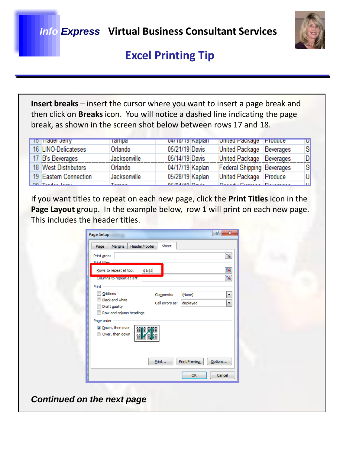#### *Info Express* **Virtual Business Consultant Services**



### **Excel Printing Tip**

**Insert breaks** – insert the cursor where you want to insert a page break and then click on **Breaks** icon. You will notice a dashed line indicating the page break, as shown in the screen shot below between rows 17 and 18.

| <b>TO THager Jeffy</b>           | <b>Tampa</b> | 04/10/19 Kapian                                              | Officed Package Produce    | ч |
|----------------------------------|--------------|--------------------------------------------------------------|----------------------------|---|
| 16 LINO-Delicateses              | Orlando      | 05/21/19 Davis                                               | United Package Beverages   | S |
| 17 B's Beverages                 | Jacksonville | 05/14/19 Davis                                               | United Package Beverages   | D |
| 18 West Distributors             | Orlando      | 04/17/19 Kaplan                                              | Federal Shipping Beverages | S |
| 19 Eastern Connection            | Jacksonville | 05/28/19 Kaplan                                              | United Package Produce     | U |
| $00 \text{ T}$ and $1 \text{ T}$ | $T = 1$      | $\Delta F$ ( $\Delta H$ ( $\Delta H$ ) $\Delta H$ $\Delta H$ | Design Fourier Departure   | m |

If you want titles to repeat on each new page, click the **Print Titles** icon in the Page Layout group. In the example below, row 1 will print on each new page. This includes the header titles.

| Margins<br>Page                               | Sheet<br>Header/Footer        |         |
|-----------------------------------------------|-------------------------------|---------|
| Print area:                                   |                               |         |
| <b>Print titles</b><br>Rows to repeat at top: | \$1: \$1                      |         |
| Columns to repeat at left:                    |                               |         |
| Print                                         |                               |         |
| Gridlines                                     | Comments:<br>(None)           |         |
| <b>Black and white</b><br>Draft guality       | Cell errors as:<br>displayed  |         |
| Row and column headings                       |                               |         |
| Page order                                    |                               |         |
| O Down, then over<br>Over, then down<br>羀     | 雷情<br>물                       |         |
|                                               | Print<br><b>Print Preview</b> | Options |
|                                               |                               |         |

*Continued on the next page*